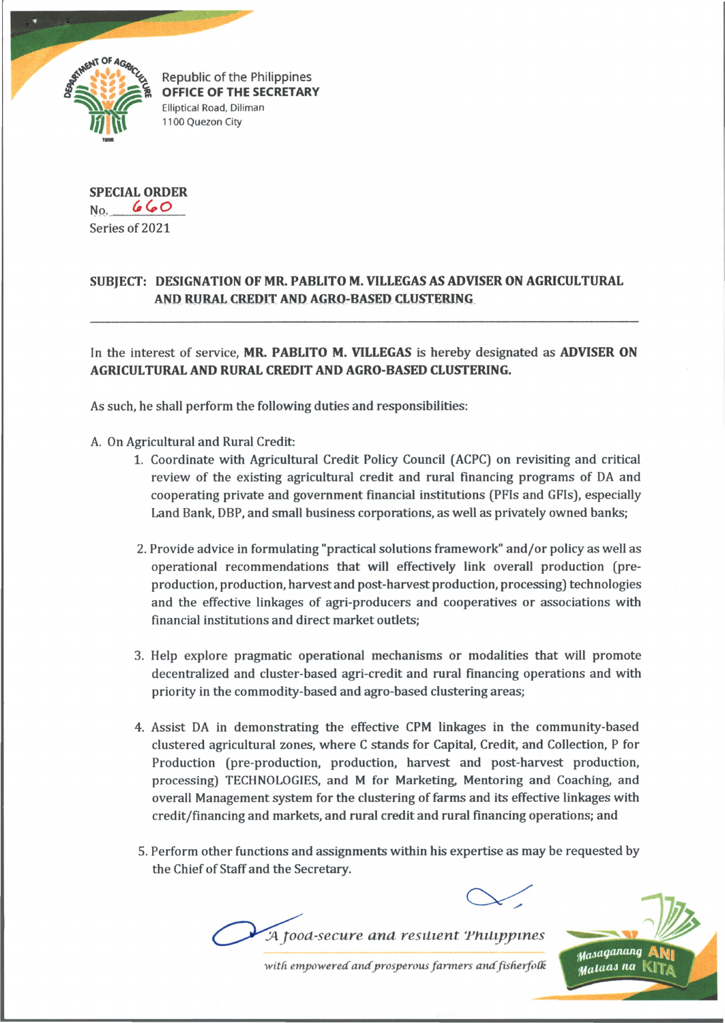

Republic of the Philippines **OFFICE OF THE SECRETARY Elliptical Road, Diliman** 1100 Quezon City

**SPECIAL ORDER** No. *(•(\*\*Q* Series of 2021

## **SUBJECT: DESIGNATION OF MR. PABLITO M. VILLEGAS AS ADVISER ON AGRICULTURAL AND RURAL CREDIT AND AGRO-BASED CLUSTERING**

In the interest of service, **MR. PABLITO M. VILLEGAS** is hereby designated as **ADVISER ON AGRICULTURAL AND RURAL CREDIT AND AGRO-BASED CLUSTERING.**

As such, he shall perform the following duties and responsibilities:

- A. On Agricultural and Rural Credit:
	- 1. Coordinate with Agricultural Credit Policy Council (ACPC) on revisiting and critical review of the existing agricultural credit and rural financing programs of DA and cooperating private and government financial institutions (PFIs and GFIs), especially Land Bank, DBP, and small business corporations, as well as privately owned banks;
	- 2. Provide advice in formulating "practical solutions framework" and/or policy as well as operational recommendations that will effectively link overall production (preproduction, production, harvestand post-harvest production, processing) technologies and the effective linkages of agri-producers and cooperatives or associations with financial institutions and direct market outlets;
	- 3. Help explore pragmatic operational mechanisms or modalities that will promote decentralized and cluster-based agri-credit and rural financing operations and with priority in the commodity-based and agro-based clustering areas;
	- 4. Assist DA in demonstrating the effective CPM linkages in the community-based clustered agricultural zones, where C stands for Capital, Credit, and Collection, P for Production (pre-production, production, harvest and post-harvest production, processing) TECHNOLOGIES, and M for Marketing, Mentoring and Coaching, and overall Management system for the clustering of farms and its effective linkages with credit/financing and markets, and rural credit and rural financing operations; and
	- 5. Perform other functions and assignments within his expertise as may be requested by the Chief of Staff and the Secretary.





with empowered and prosperous farmers and fisherfolk